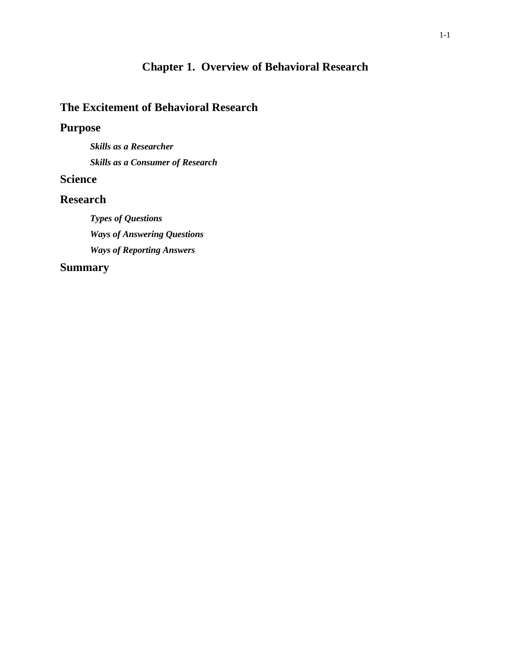# **Chapter 1. Overview of Behavioral Research**

# **The Excitement of Behavioral Research**

# **Purpose**

*Skills as a Researcher Skills as a Consumer of Research*

# **Science**

# **Research**

*Types of Questions Ways of Answering Questions Ways of Reporting Answers*

# **Summary**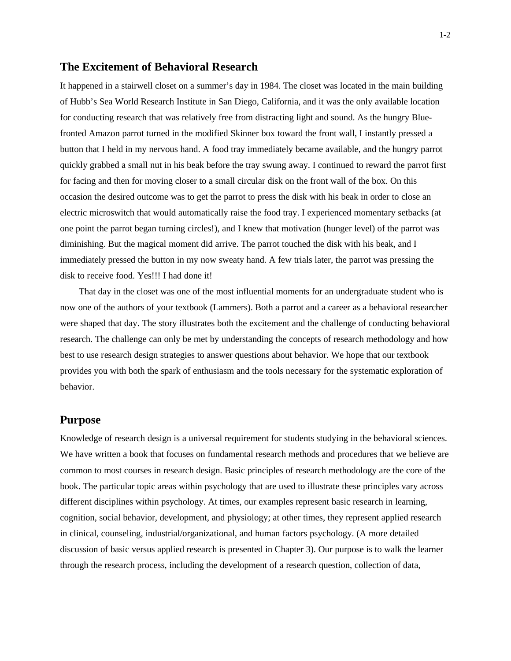### **The Excitement of Behavioral Research**

It happened in a stairwell closet on a summer's day in 1984. The closet was located in the main building of Hubb's Sea World Research Institute in San Diego, California, and it was the only available location for conducting research that was relatively free from distracting light and sound. As the hungry Bluefronted Amazon parrot turned in the modified Skinner box toward the front wall, I instantly pressed a button that I held in my nervous hand. A food tray immediately became available, and the hungry parrot quickly grabbed a small nut in his beak before the tray swung away. I continued to reward the parrot first for facing and then for moving closer to a small circular disk on the front wall of the box. On this occasion the desired outcome was to get the parrot to press the disk with his beak in order to close an electric microswitch that would automatically raise the food tray. I experienced momentary setbacks (at one point the parrot began turning circles!), and I knew that motivation (hunger level) of the parrot was diminishing. But the magical moment did arrive. The parrot touched the disk with his beak, and I immediately pressed the button in my now sweaty hand. A few trials later, the parrot was pressing the disk to receive food. Yes!!! I had done it!

That day in the closet was one of the most influential moments for an undergraduate student who is now one of the authors of your textbook (Lammers). Both a parrot and a career as a behavioral researcher were shaped that day. The story illustrates both the excitement and the challenge of conducting behavioral research. The challenge can only be met by understanding the concepts of research methodology and how best to use research design strategies to answer questions about behavior. We hope that our textbook provides you with both the spark of enthusiasm and the tools necessary for the systematic exploration of behavior.

### **Purpose**

Knowledge of research design is a universal requirement for students studying in the behavioral sciences. We have written a book that focuses on fundamental research methods and procedures that we believe are common to most courses in research design. Basic principles of research methodology are the core of the book. The particular topic areas within psychology that are used to illustrate these principles vary across different disciplines within psychology. At times, our examples represent basic research in learning, cognition, social behavior, development, and physiology; at other times, they represent applied research in clinical, counseling, industrial/organizational, and human factors psychology. (A more detailed discussion of basic versus applied research is presented in Chapter 3). Our purpose is to walk the learner through the research process, including the development of a research question, collection of data,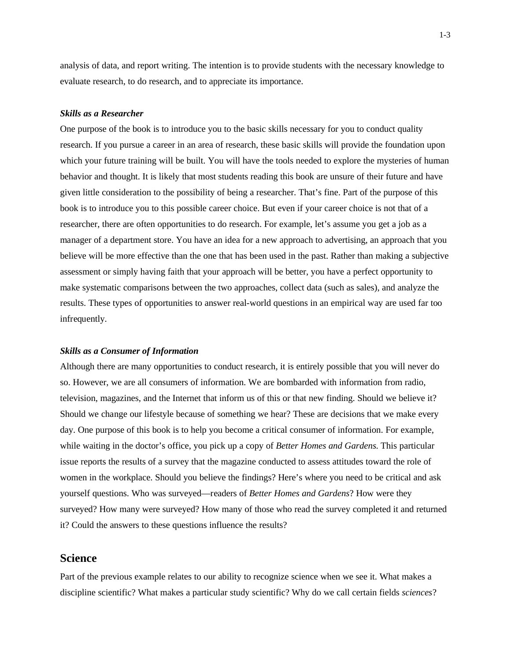analysis of data, and report writing. The intention is to provide students with the necessary knowledge to evaluate research, to do research, and to appreciate its importance.

### *Skills as a Researcher*

One purpose of the book is to introduce you to the basic skills necessary for you to conduct quality research. If you pursue a career in an area of research, these basic skills will provide the foundation upon which your future training will be built. You will have the tools needed to explore the mysteries of human behavior and thought. It is likely that most students reading this book are unsure of their future and have given little consideration to the possibility of being a researcher. That's fine. Part of the purpose of this book is to introduce you to this possible career choice. But even if your career choice is not that of a researcher, there are often opportunities to do research. For example, let's assume you get a job as a manager of a department store. You have an idea for a new approach to advertising, an approach that you believe will be more effective than the one that has been used in the past. Rather than making a subjective assessment or simply having faith that your approach will be better, you have a perfect opportunity to make systematic comparisons between the two approaches, collect data (such as sales), and analyze the results. These types of opportunities to answer real-world questions in an empirical way are used far too infrequently.

#### *Skills as a Consumer of Information*

Although there are many opportunities to conduct research, it is entirely possible that you will never do so. However, we are all consumers of information. We are bombarded with information from radio, television, magazines, and the Internet that inform us of this or that new finding. Should we believe it? Should we change our lifestyle because of something we hear? These are decisions that we make every day. One purpose of this book is to help you become a critical consumer of information. For example, while waiting in the doctor's office, you pick up a copy of *Better Homes and Gardens.* This particular issue reports the results of a survey that the magazine conducted to assess attitudes toward the role of women in the workplace. Should you believe the findings? Here's where you need to be critical and ask yourself questions. Who was surveyed—readers of *Better Homes and Gardens*? How were they surveyed? How many were surveyed? How many of those who read the survey completed it and returned it? Could the answers to these questions influence the results?

### **Science**

Part of the previous example relates to our ability to recognize science when we see it. What makes a discipline scientific? What makes a particular study scientific? Why do we call certain fields *sciences*?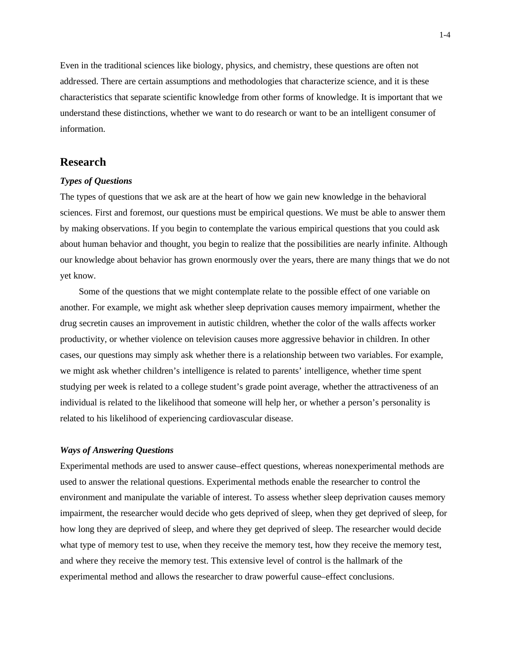Even in the traditional sciences like biology, physics, and chemistry, these questions are often not addressed. There are certain assumptions and methodologies that characterize science, and it is these characteristics that separate scientific knowledge from other forms of knowledge. It is important that we understand these distinctions, whether we want to do research or want to be an intelligent consumer of information.

## **Research**

### *Types of Questions*

The types of questions that we ask are at the heart of how we gain new knowledge in the behavioral sciences. First and foremost, our questions must be empirical questions. We must be able to answer them by making observations. If you begin to contemplate the various empirical questions that you could ask about human behavior and thought, you begin to realize that the possibilities are nearly infinite. Although our knowledge about behavior has grown enormously over the years, there are many things that we do not yet know.

Some of the questions that we might contemplate relate to the possible effect of one variable on another. For example, we might ask whether sleep deprivation causes memory impairment, whether the drug secretin causes an improvement in autistic children, whether the color of the walls affects worker productivity, or whether violence on television causes more aggressive behavior in children. In other cases, our questions may simply ask whether there is a relationship between two variables. For example, we might ask whether children's intelligence is related to parents' intelligence, whether time spent studying per week is related to a college student's grade point average, whether the attractiveness of an individual is related to the likelihood that someone will help her, or whether a person's personality is related to his likelihood of experiencing cardiovascular disease.

### *Ways of Answering Questions*

Experimental methods are used to answer cause–effect questions, whereas nonexperimental methods are used to answer the relational questions. Experimental methods enable the researcher to control the environment and manipulate the variable of interest. To assess whether sleep deprivation causes memory impairment, the researcher would decide who gets deprived of sleep, when they get deprived of sleep, for how long they are deprived of sleep, and where they get deprived of sleep. The researcher would decide what type of memory test to use, when they receive the memory test, how they receive the memory test, and where they receive the memory test. This extensive level of control is the hallmark of the experimental method and allows the researcher to draw powerful cause–effect conclusions.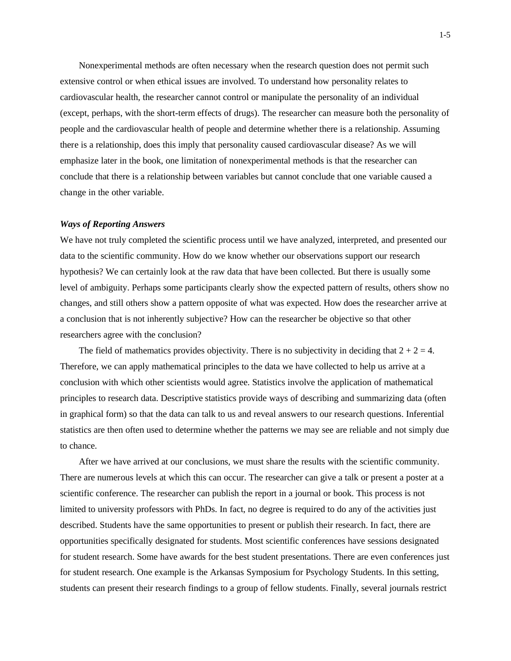Nonexperimental methods are often necessary when the research question does not permit such extensive control or when ethical issues are involved. To understand how personality relates to cardiovascular health, the researcher cannot control or manipulate the personality of an individual (except, perhaps, with the short-term effects of drugs). The researcher can measure both the personality of people and the cardiovascular health of people and determine whether there is a relationship. Assuming there is a relationship, does this imply that personality caused cardiovascular disease? As we will emphasize later in the book, one limitation of nonexperimental methods is that the researcher can conclude that there is a relationship between variables but cannot conclude that one variable caused a change in the other variable.

#### *Ways of Reporting Answers*

We have not truly completed the scientific process until we have analyzed, interpreted, and presented our data to the scientific community. How do we know whether our observations support our research hypothesis? We can certainly look at the raw data that have been collected. But there is usually some level of ambiguity. Perhaps some participants clearly show the expected pattern of results, others show no changes, and still others show a pattern opposite of what was expected. How does the researcher arrive at a conclusion that is not inherently subjective? How can the researcher be objective so that other researchers agree with the conclusion?

The field of mathematics provides objectivity. There is no subjectivity in deciding that  $2 + 2 = 4$ . Therefore, we can apply mathematical principles to the data we have collected to help us arrive at a conclusion with which other scientists would agree. Statistics involve the application of mathematical principles to research data. Descriptive statistics provide ways of describing and summarizing data (often in graphical form) so that the data can talk to us and reveal answers to our research questions. Inferential statistics are then often used to determine whether the patterns we may see are reliable and not simply due to chance.

After we have arrived at our conclusions, we must share the results with the scientific community. There are numerous levels at which this can occur. The researcher can give a talk or present a poster at a scientific conference. The researcher can publish the report in a journal or book. This process is not limited to university professors with PhDs. In fact, no degree is required to do any of the activities just described. Students have the same opportunities to present or publish their research. In fact, there are opportunities specifically designated for students. Most scientific conferences have sessions designated for student research. Some have awards for the best student presentations. There are even conferences just for student research. One example is the Arkansas Symposium for Psychology Students. In this setting, students can present their research findings to a group of fellow students. Finally, several journals restrict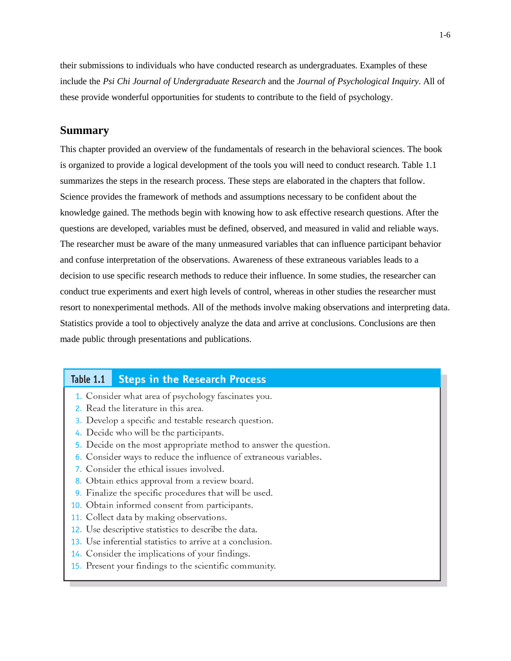their submissions to individuals who have conducted research as undergraduates. Examples of these include the *Psi Chi Journal of Undergraduate Research* and the *Journal of Psychological Inquiry*. All of these provide wonderful opportunities for students to contribute to the field of psychology.

### **Summary**

This chapter provided an overview of the fundamentals of research in the behavioral sciences. The book is organized to provide a logical development of the tools you will need to conduct research. Table 1.1 summarizes the steps in the research process. These steps are elaborated in the chapters that follow. Science provides the framework of methods and assumptions necessary to be confident about the knowledge gained. The methods begin with knowing how to ask effective research questions. After the questions are developed, variables must be defined, observed, and measured in valid and reliable ways. The researcher must be aware of the many unmeasured variables that can influence participant behavior and confuse interpretation of the observations. Awareness of these extraneous variables leads to a decision to use specific research methods to reduce their influence. In some studies, the researcher can conduct true experiments and exert high levels of control, whereas in other studies the researcher must resort to nonexperimental methods. All of the methods involve making observations and interpreting data. Statistics provide a tool to objectively analyze the data and arrive at conclusions. Conclusions are then made public through presentations and publications.

#### **Steps in the Research Process** Table 1.1

- 1. Consider what area of psychology fascinates you.
- 2. Read the literature in this area.
- 3. Develop a specific and testable research question.
- 4. Decide who will be the participants.
- 5. Decide on the most appropriate method to answer the question.
- 6. Consider ways to reduce the influence of extraneous variables.
- 7. Consider the ethical issues involved.
- 8. Obtain ethics approval from a review board.
- 9. Finalize the specific procedures that will be used.
- 10. Obtain informed consent from participants.
- 11. Collect data by making observations.
- 12. Use descriptive statistics to describe the data.
- 13. Use inferential statistics to arrive at a conclusion.
- 14. Consider the implications of your findings.
- 15. Present your findings to the scientific community.